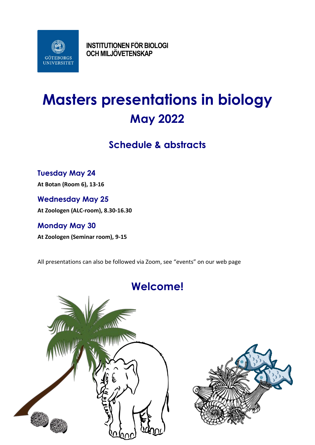

**INSTITUTIONEN FÖR BIOLOGI OCH MILJÖVETENSKAP**

# **Masters presentations in biology May 2022**

# **Schedule & abstracts**

# **Tuesday May 24**

**At Botan (Room 6), 13-16**

**Wednesday May 25 At Zoologen (ALC-room), 8.30-16.30**

# **Monday May 30**

**At Zoologen (Seminar room), 9-15**

All presentations can also be followed via Zoom, see "events" on our web page



# **Welcome!**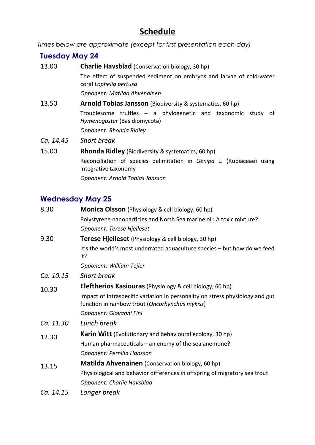# **Schedule**

*Times below are approximate (except for first presentation each day)*

# **Tuesday May 24**

| 13.00     | <b>Charlie Havsblad</b> (Conservation biology, 30 hp)                                             |
|-----------|---------------------------------------------------------------------------------------------------|
|           | The effect of suspended sediment on embryos and larvae of cold-water<br>coral Lophelia pertusa    |
|           | Opponent: Matilda Ahvenainen                                                                      |
| 13.50     | <b>Arnold Tobias Jansson</b> (Biodiversity & systematics, 60 hp)                                  |
|           | Troublesome truffles $-$ a phylogenetic and taxonomic study<br>ot<br>Hymenogaster (Basidiomycota) |
|           | Opponent: Rhonda Ridley                                                                           |
| Ca. 14.45 | <b>Short break</b>                                                                                |
| 15.00     | <b>Rhonda Ridley</b> (Biodiversity & systematics, 60 hp)                                          |
|           | Reconciliation of species delimitation in Genipa L. (Rubiaceae) using<br>integrative taxonomy     |
|           | Opponent: Arnold Tobias Jansson                                                                   |

# **Wednesday May 25**

| 8.30      | Monica Olsson (Physiology & cell biology, 60 hp)                                                                                 |
|-----------|----------------------------------------------------------------------------------------------------------------------------------|
|           | Polystyrene nanoparticles and North Sea marine oil: A toxic mixture?                                                             |
|           | Opponent: Terese Hjelleset                                                                                                       |
| 9.30      | <b>Terese Hjelleset</b> (Physiology & cell biology, 30 hp)                                                                       |
|           | It's the world's most underrated aquaculture species - but how do we feed<br>it?                                                 |
|           | Opponent: William Tejler                                                                                                         |
| Ca. 10.15 | <b>Short break</b>                                                                                                               |
| 10.30     | <b>Eleftherios Kasiouras</b> (Physiology & cell biology, 60 hp)                                                                  |
|           | Impact of intraspecific variation in personality on stress physiology and gut<br>function in rainbow trout (Oncorhynchus mykiss) |
|           | Opponent: Giovanni Fini                                                                                                          |
| Ca. 11.30 | Lunch break                                                                                                                      |
| 12.30     | Karin Witt (Evolutionary and behavioural ecology, 30 hp)                                                                         |
|           | Human pharmaceuticals $-$ an enemy of the sea anemone?                                                                           |
|           | Opponent: Pernilla Hansson                                                                                                       |
| 13.15     | Matilda Ahvenainen (Conservation biology, 60 hp)                                                                                 |
|           | Physiological and behavior differences in offspring of migratory sea trout                                                       |
|           | Opponent: Charlie Havsblad                                                                                                       |
| Ca. 14.15 | Longer break                                                                                                                     |
|           |                                                                                                                                  |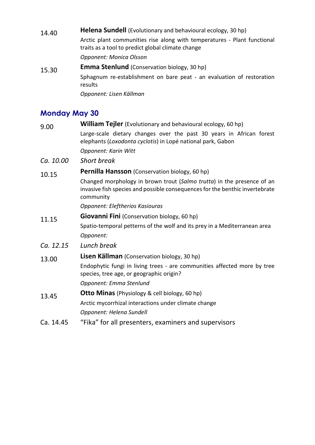14.40 **Helena Sundell** (Evolutionary and behavioural ecology, 30 hp) Arctic plant communities rise along with temperatures - Plant functional traits as a tool to predict global climate change *Opponent: Monica Olsson* 15.30 **Emma Stenlund** (Conservation biology, 30 hp) Sphagnum re-establishment on bare peat - an evaluation of restoration results *Opponent: Lisen Källman*

# **Monday May 30**

| 9.00      | <b>William Tejler</b> (Evolutionary and behavioural ecology, 60 hp)                                                                                                 |
|-----------|---------------------------------------------------------------------------------------------------------------------------------------------------------------------|
|           | Large-scale dietary changes over the past 30 years in African forest<br>elephants (Loxodonta cyclotis) in Lopé national park, Gabon                                 |
|           | Opponent: Karin Witt                                                                                                                                                |
| Ca. 10.00 | <b>Short break</b>                                                                                                                                                  |
| 10.15     | Pernilla Hansson (Conservation biology, 60 hp)                                                                                                                      |
|           | Changed morphology in brown trout (Salmo trutta) in the presence of an<br>invasive fish species and possible consequences for the benthic invertebrate<br>community |
|           | Opponent: Eleftherios Kasiouras                                                                                                                                     |
| 11.15     | <b>Giovanni Fini</b> (Conservation biology, 60 hp)                                                                                                                  |
|           | Spatio-temporal petterns of the wolf and its prey in a Mediterranean area                                                                                           |
|           | Opponent:                                                                                                                                                           |
| Ca. 12.15 | Lunch break                                                                                                                                                         |
| 13.00     | <b>Lisen Källman</b> (Conservation biology, 30 hp)                                                                                                                  |
|           | Endophytic fungi in living trees - are communities affected more by tree<br>species, tree age, or geographic origin?                                                |
|           | Opponent: Emma Stenlund                                                                                                                                             |
| 13.45     | <b>Otto Minas</b> (Physiology & cell biology, 60 hp)                                                                                                                |
|           | Arctic mycorrhizal interactions under climate change                                                                                                                |
|           | Opponent: Helena Sundell                                                                                                                                            |
| Ca. 14.45 | "Fika" for all presenters, examiners and supervisors                                                                                                                |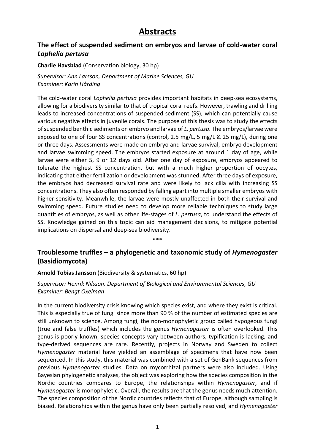# **Abstracts**

# **The effect of suspended sediment on embryos and larvae of cold-water coral**  *Lophelia pertusa*

#### **Charlie Havsblad** (Conservation biology, 30 hp)

*Supervisor: Ann Larsson, Department of Marine Sciences, GU Examiner: Karin Hårding*

The cold-water coral *Lophelia pertusa* provides important habitats in deep-sea ecosystems, allowing for a biodiversity similar to that of tropical coral reefs. However, trawling and drilling leads to increased concentrations of suspended sediment (SS), which can potentially cause various negative effects in juvenile corals. The purpose of this thesis was to study the effects of suspended benthic sediments on embryo and larvae of *L. pertusa*. The embryos/larvae were exposed to one of four SS concentrations (control, 2.5 mg/L, 5 mg/L & 25 mg/L), during one or three days. Assessments were made on embryo and larvae survival, embryo development and larvae swimming speed. The embryos started exposure at around 1 day of age, while larvae were either 5, 9 or 12 days old. After one day of exposure, embryos appeared to tolerate the highest SS concentration, but with a much higher proportion of oocytes, indicating that either fertilization or development was stunned. After three days of exposure, the embryos had decreased survival rate and were likely to lack cilia with increasing SS concentrations. They also often responded by falling apart into multiple smaller embryos with higher sensitivity. Meanwhile, the larvae were mostly unaffected in both their survival and swimming speed. Future studies need to develop more reliable techniques to study large quantities of embryos, as well as other life-stages of *L. pertusa*, to understand the effects of SS. Knowledge gained on this topic can aid management decisions, to mitigate potential implications on dispersal and deep-sea biodiversity.

\*\*\*

# **Troublesome truffles – a phylogenetic and taxonomic study of** *Hymenogaster* **(Basidiomycota)**

**Arnold Tobias Jansson** (Biodiversity & systematics, 60 hp)

*Supervisor: Henrik Nilsson, Department of Biological and Environmental Sciences, GU Examiner: Bengt Oxelman*

In the current biodiversity crisis knowing which species exist, and where they exist is critical. This is especially true of fungi since more than 90 % of the number of estimated species are still unknown to science. Among fungi, the non-monophyletic group called hypogeous fungi (true and false truffles) which includes the genus *Hymenogaster* is often overlooked. This genus is poorly known, species concepts vary between authors, typification is lacking, and type-derived sequences are rare. Recently, projects in Norway and Sweden to collect *Hymenogaster* material have yielded an assemblage of specimens that have now been sequenced. In this study, this material was combined with a set of GenBank sequences from previous *Hymenogaster* studies. Data on mycorrhizal partners were also included. Using Bayesian phylogenetic analyses, the object was exploring how the species composition in the Nordic countries compares to Europe, the relationships within *Hymenogaster*, and if *Hymenogaster* is monophyletic. Overall, the results are that the genus needs much attention. The species composition of the Nordic countries reflects that of Europe, although sampling is biased. Relationships within the genus have only been partially resolved, and *Hymenogaster*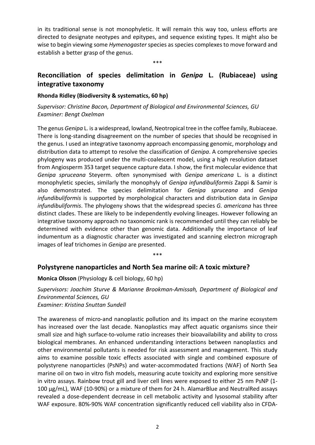in its traditional sense is not monophyletic. It will remain this way too, unless efforts are directed to designate neotypes and epitypes, and sequence existing types. It might also be wise to begin viewing some *Hymenogaster* species as species complexes to move forward and establish a better grasp of the genus.

# **Reconciliation of species delimitation in** *Genipa* **L. (Rubiaceae) using integrative taxonomy**

\*\*\*

#### **Rhonda Ridley (Biodiversity & systematics, 60 hp)**

*Supervisor: Christine Bacon, Department of Biological and Environmental Sciences, GU Examiner: Bengt Oxelman*

The genus *Genipa* L. is a widespread, lowland, Neotropical tree in the coffee family, Rubiaceae. There is long-standing disagreement on the number of species that should be recognised in the genus. I used an integrative taxonomy approach encompassing genomic, morphology and distribution data to attempt to resolve the classification of *Genipa*. A comprehensive species phylogeny was produced under the multi-coalescent model, using a high resolution dataset from Angiosperm 353 target sequence capture data. I show, the first molecular evidence that *Genipa spruceana* Steyerm. often synonymised with *Genipa americana* L. is a distinct monophyletic species, similarly the monophyly of *Genipa infundibuliformis* Zappi & Samir is also demonstrated. The species delimitation for *Genipa spruceana* and *Genipa infundibuliformis* is supported by morphological characters and distribution data in *Genipa infundibuliformis*. The phylogeny shows that the widespread species *G. americana* has three distinct clades. These are likely to be independently evolving lineages. However following an integrative taxonomy approach no taxonomic rank is recommended until they can reliably be determined with evidence other than genomic data. Additionally the importance of leaf indumentum as a diagnostic character was investigated and scanning electron micrograph images of leaf trichomes in *Genipa* are presented.

\*\*\*

#### **Polystyrene nanoparticles and North Sea marine oil: A toxic mixture?**

**Monica Olsson** (Physiology & cell biology, 60 hp)

*Supervisors: Joachim Sturve & Marianne Brookman-Amissah, Department of Biological and Environmental Sciences, GU Examiner: Kristina Snuttan Sundell*

The awareness of micro-and nanoplastic pollution and its impact on the marine ecosystem has increased over the last decade. Nanoplastics may affect aquatic organisms since their small size and high surface-to-volume ratio increases their bioavailability and ability to cross biological membranes. An enhanced understanding interactions between nanoplastics and other environmental pollutants is needed for risk assessment and management. This study aims to examine possible toxic effects associated with single and combined exposure of polystyrene nanoparticles (PsNPs) and water-accommodated fractions (WAF) of North Sea marine oil on two in vitro fish models, measuring acute toxicity and exploring more sensitive in vitro assays. Rainbow trout gill and liver cell lines were exposed to either 25 nm PsNP (1- 100 μg/mL), WAF (10-90%) or a mixture of them for 24 h. AlamarBlue and NeutralRed assays revealed a dose-dependent decrease in cell metabolic activity and lysosomal stability after WAF exposure. 80%-90% WAF concentration significantly reduced cell viability also in CFDA-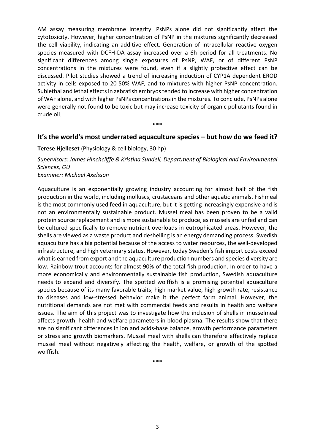AM assay measuring membrane integrity. PsNPs alone did not significantly affect the cytotoxicity. However, higher concentration of PsNP in the mixtures significantly decreased the cell viability, indicating an additive effect. Generation of intracellular reactive oxygen species measured with DCFH-DA assay increased over a 6h period for all treatments. No significant differences among single exposures of PsNP, WAF, or of different PsNP concentrations in the mixtures were found, even if a slightly protective effect can be discussed. Pilot studies showed a trend of increasing induction of CYP1A dependent EROD activity in cells exposed to 20-50% WAF, and to mixtures with higher PsNP concentration. Sublethal and lethal effects in zebrafish embryos tended to increase with higher concentration of WAF alone, and with higher PsNPs concentrations in the mixtures. To conclude, PsNPs alone were generally not found to be toxic but may increase toxicity of organic pollutants found in crude oil.

### **It's the world's most underrated aquaculture species – but how do we feed it?**

\*\*\*

#### **Terese Hjelleset** (Physiology & cell biology, 30 hp)

*Supervisors: James Hinchcliffe & Kristina Sundell, Department of Biological and Environmental Sciences, GU*

*Examiner: Michael Axelsson*

Aquaculture is an exponentially growing industry accounting for almost half of the fish production in the world, including molluscs, crustaceans and other aquatic animals. Fishmeal is the most commonly used feed in aquaculture, but it is getting increasingly expensive and is not an environmentally sustainable product. Mussel meal has been proven to be a valid protein source replacement and is more sustainable to produce, as mussels are unfed and can be cultured specifically to remove nutrient overloads in eutrophicated areas. However, the shells are viewed as a waste product and deshelling is an energy demanding process. Swedish aquaculture has a big potential because of the access to water resources, the well-developed infrastructure, and high veterinary status. However, today Sweden's fish import costs exceed what is earned from export and the aquaculture production numbers and species diversity are low. Rainbow trout accounts for almost 90% of the total fish production. In order to have a more economically and environmentally sustainable fish production, Swedish aquaculture needs to expand and diversify. The spotted wolffish is a promising potential aquaculture species because of its many favorable traits; high market value, high growth rate, resistance to diseases and low-stressed behavior make it the perfect farm animal. However, the nutritional demands are not met with commercial feeds and results in health and welfare issues. The aim of this project was to investigate how the inclusion of shells in musselmeal affects growth, health and welfare parameters in blood plasma. The results show that there are no significant differences in ion and acids-base balance, growth performance parameters or stress and growth biomarkers. Mussel meal with shells can therefore effectively replace mussel meal without negatively affecting the health, welfare, or growth of the spotted wolffish.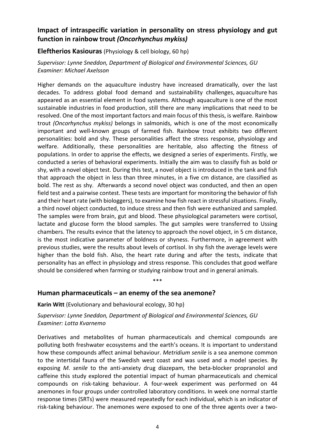### **Impact of intraspecific variation in personality on stress physiology and gut function in rainbow trout** *(Oncorhynchus mykiss)*

**Eleftherios Kasiouras** (Physiology & cell biology, 60 hp)

*Supervisor: Lynne Sneddon, Department of Biological and Environmental Sciences, GU Examiner: Michael Axelsson*

Higher demands on the aquaculture industry have increased dramatically, over the last decades. To address global food demand and sustainability challenges, [aquaculture](https://www.sciencedirect.com/topics/agricultural-and-biological-sciences/aquaculture) has appeared as an essential element in food systems. Although aquaculture is one of the most sustainable industries in food production, still there are many implications that need to be resolved. One of the most important factors and main focus of this thesis, is welfare. Rainbow trout *(Oncorhynchus mykiss)* belongs in salmonids, which is one of the most economically important and well-known groups of farmed fish. Rainbow trout exhibits two different personalities: bold and shy. These personalities affect the stress response, physiology and welfare. Additionally, these personalities are heritable, also affecting the fitness of populations. In order to apprise the effects, we designed a series of experiments. Firstly, we conducted a series of behavioral experiments. Initially the aim was to classify fish as bold or shy, with a novel object test. During this test, a novel object is introduced in the tank and fish that approach the object in less than three minutes, in a five cm distance, are classified as bold. The rest as shy. Afterwards a second novel object was conducted, and then an open field test and a pairwise contest. These tests are important for monitoring the behavior of fish and their heart rate (with biologgers), to examine how fish react in stressful situations. Finally, a third novel object conducted, to induce stress and then fish were euthanized and sampled. The samples were from brain, gut and blood. These physiological parameters were cortisol, lactate and glucose form the blood samples. The gut samples were transferred to Ussing chambers. The results evince that the latency to approach the novel object, in 5 cm distance, is the most indicative parameter of boldness or shyness. Furthermore, in agreement with previous studies, were the results about levels of cortisol. In shy fish the average levels were higher than the bold fish. Also, the heart rate during and after the tests, indicate that personality has an effect in physiology and stress response. This concludes that good welfare should be considered when farming or studying rainbow trout and in general animals.

### **Human pharmaceuticals – an enemy of the sea anemone?**

**Karin Witt** (Evolutionary and behavioural ecology, 30 hp)

### *Supervisor: Lynne Sneddon, Department of Biological and Environmental Sciences, GU Examiner: Lotta Kvarnemo*

\*\*\*

Derivatives and metabolites of human pharmaceuticals and chemical compounds are polluting both freshwater ecosystems and the earth's oceans. It is important to understand how these compounds affect animal behaviour. *Metridium senile* is a sea anemone common to the intertidal fauna of the Swedish west coast and was used and a model species. By exposing *M. senile* to the anti-anxiety drug diazepam, the beta-blocker propranolol and caffeine this study explored the potential impact of human pharmaceuticals and chemical compounds on risk-taking behaviour. A four-week experiment was performed on 44 anemones in four groups under controlled laboratory conditions. In week one normal startle response times (SRTs) were measured repeatedly for each individual, which is an indicator of risk-taking behaviour. The anemones were exposed to one of the three agents over a two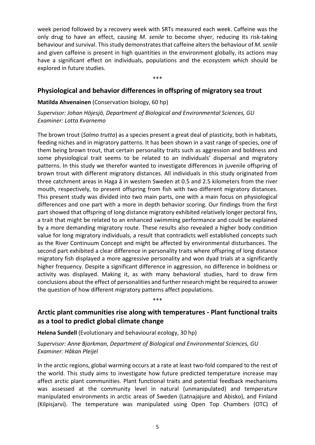week period followed by a recovery week with SRTs measured each week. Caffeine was the only drug to have an effect, causing *M. senile* to become shyer, reducing its risk-taking behaviour and survival. This study demonstrates that caffeine alters the behaviour of *M. senile* and given caffeine is present in high quantities in the environment globally, its actions may have a significant effect on individuals, populations and the ecosystem which should be explored in future studies.

\*\*\*

### **Physiological and behavior differences in offspring of migratory sea trout**

#### **Matilda Ahvenainen** (Conservation biology, 60 hp)

*Supervisor: Johan Höjesjö, Department of Biological and Environmental Sciences, GU Examiner: Lotta Kvarnemo*

The brown trout (*Salmo trutta*) as a species present a great deal of plasticity, both in habitats, feeding niches and in migratory patterns. It has been shown in a vast range of species, one of them being brown trout, that certain personality traits such as aggression and boldness and some physiological trait seems to be related to an individuals' dispersal and migratory patterns. In this study we therefor wanted to investigate differences in juvenile offspring of brown trout with different migratory distances. All individuals in this study originated from three catchment areas in Haga å in western Sweden at 0.5 and 2.5 kilometers from the river mouth, respectively, to present offspring from fish with two different migratory distances. This present study was divided into two main parts, one with a main focus on physiological differences and one part with a more in depth behavior scoring. Our findings from the first part showed that offspring of long distance migratory exhibited relatively longer pectoral fins, a trait that might be related to an enhanced swimming performance and could be explained by a more demanding migratory route. These results also revealed a higher body condition value for long migratory individuals, a result that contradicts well established concepts such as the River Continuum Concept and might be affected by environmental disturbances. The second part exhibited a clear difference in personality traits where offspring of long distance migratory fish displayed a more aggressive personality and won dyad trials at a significantly higher frequency. Despite a significant difference in aggression, no difference in boldness or activity was displayed. Making it, as with many behavioral studies, hard to draw firm conclusions about the effect of personalities and further research might be required to answer the question of how different migratory patterns affect populations.

# **Arctic plant communities rise along with temperatures - Plant functional traits as a tool to predict global climate change**

\*\*\*

**Helena Sundell** (Evolutionary and behavioural ecology, 30 hp)

#### *Supervisor: Anne Bjorkman, Department of Biological and Environmental Sciences, GU Examiner: Håkan Pleijel*

In the arctic regions, global warming occurs at a rate at least two-fold compared to the rest of the world. This study aims to investigate how future predicted temperature increase may affect arctic plant communities. Plant functional traits and potential feedback mechanisms was assessed at the community level in natural (unmanipulated) and temperature manipulated environments in arctic areas of Sweden (Latnajajure and Abisko), and Finland (Kilpisjarvi). The temperature was manipulated using Open Top Chambers (OTC) of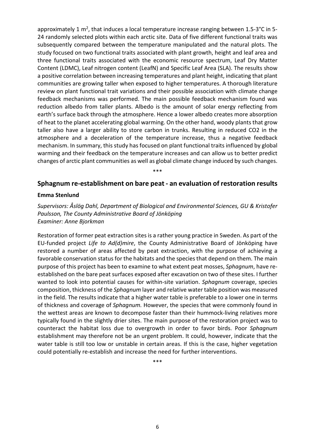approximately 1 m<sup>2</sup>, that induces a local temperature increase ranging between 1.5-3 $^{\circ}$ C in 5-24 randomly selected plots within each arctic site. Data of five different functional traits was subsequently compared between the temperature manipulated and the natural plots. The study focused on two functional traits associated with plant growth, height and leaf area and three functional traits associated with the economic resource spectrum, Leaf Dry Matter Content (LDMC), Leaf nitrogen content (LeafN) and Specific Leaf Area (SLA). The results show a positive correlation between increasing temperatures and plant height, indicating that plant communities are growing taller when exposed to higher temperatures. A thorough literature review on plant functional trait variations and their possible association with climate change feedback mechanisms was performed. The main possible feedback mechanism found was reduction albedo from taller plants. Albedo is the amount of solar energy reflecting from earth's surface back through the atmosphere. Hence a lower albedo creates more absorption of heat to the planet accelerating global warming. On the other hand, woody plants that grow taller also have a larger ability to store carbon in trunks. Resulting in reduced CO2 in the atmosphere and a deceleration of the temperature increase, thus a negative feedback mechanism. In summary, this study has focused on plant functional traits influenced by global warming and their feedback on the temperature increases and can allow us to better predict changes of arctic plant communities as well as global climate change induced by such changes.

\*\*\*

#### **Sphagnum re-establishment on bare peat - an evaluation of restoration results**

#### **Emma Stenlund**

*Supervisors: Åslög Dahl, Department of Biological and Environmental Sciences, GU & Kristofer Paulsson, The County Administrative Board of Jönköping Examiner: Anne Bjorkman*

Restoration of former peat extraction sites is a rather young practice in Sweden. As part of the EU-funded project *Life to Ad(d)mire*, the County Administrative Board of Jönköping have restored a number of areas affected by peat extraction, with the purpose of achieving a favorable conservation status for the habitats and the species that depend on them. The main purpose of this project has been to examine to what extent peat mosses, *Sphagnum*, have reestablished on the bare peat surfaces exposed after excavation on two of these sites. I further wanted to look into potential causes for within-site variation. *Sphagnum* coverage, species composition, thickness of the *Sphagnum* layer and relative water table position was measured in the field. The results indicate that a higher water table is preferable to a lower one in terms of thickness and coverage of *Sphagnum.* However, the species that were commonly found in the wettest areas are known to decompose faster than their hummock-living relatives more typically found in the slightly drier sites. The main purpose of the restoration project was to counteract the habitat loss due to overgrowth in order to favor birds. Poor *Sphagnum* establishment may therefore not be an urgent problem. It could, however, indicate that the water table is still too low or unstable in certain areas. If this is the case, higher vegetation could potentially re-establish and increase the need for further interventions.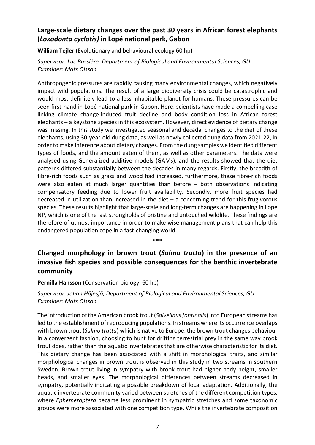# **Large-scale dietary changes over the past 30 years in African forest elephants (***Loxodonta cyclotis)* **in Lopé national park, Gabon**

**William Tejler** (Evolutionary and behavioural ecology 60 hp)

*Supervisor: Luc Bussière, Department of Biological and Environmental Sciences, GU Examiner: Mats Olsson*

Anthropogenic pressures are rapidly causing many environmental changes, which negatively impact wild populations. The result of a large biodiversity crisis could be catastrophic and would most definitely lead to a less inhabitable planet for humans. These pressures can be seen first-hand in Lopé national park in Gabon. Here, scientists have made a compelling case linking climate change-induced fruit decline and body condition loss in African forest elephants – a keystone species in this ecosystem. However, direct evidence of dietary change was missing. In this study we investigated seasonal and decadal changes to the diet of these elephants, using 30-year-old dung data, as well as newly collected dung data from 2021-22, in order to make inference about dietary changes. From the dung samples we identified different types of foods, and the amount eaten of them, as well as other parameters. The data were analysed using Generalized additive models (GAMs), and the results showed that the diet patterns differed substantially between the decades in many regards. Firstly, the breadth of fibre-rich foods such as grass and wood had increased, furthermore, these fibre-rich foods were also eaten at much larger quantities than before – both observations indicating compensatory feeding due to lower fruit availability. Secondly, more fruit species had decreased in utilization than increased in the diet  $-$  a concerning trend for this frugivorous species. These results highlight that large-scale and long-term changes are happening in Lopé NP, which is one of the last strongholds of pristine and untouched wildlife. These findings are therefore of utmost importance in order to make wise management plans that can help this endangered population cope in a fast-changing world.

\*\*\*

# **Changed morphology in brown trout (***Salmo trutta***) in the presence of an invasive fish species and possible consequences for the benthic invertebrate community**

#### **Pernilla Hansson** (Conservation biology, 60 hp)

*Supervisor: Johan Höjesjö, Department of Biological and Environmental Sciences, GU Examiner: Mats Olsson*

The introduction of the American brook trout (*Salvelinus fontinalis*) into European streams has led to the establishment of reproducing populations. In streams where its occurrence overlaps with brown trout (*Salmo trutta*) which is native to Europe, the brown trout changes behaviour in a convergent fashion, choosing to hunt for drifting terrestrial prey in the same way brook trout does, rather than the aquatic invertebrates that are otherwise characteristic for its diet. This dietary change has been associated with a shift in morphological traits, and similar morphological changes in brown trout is observed in this study in two streams in southern Sweden. Brown trout living in sympatry with brook trout had higher body height, smaller heads, and smaller eyes. The morphological differences between streams decreased in sympatry, potentially indicating a possible breakdown of local adaptation. Additionally, the aquatic invertebrate community varied between stretches of the different competition types, where *Ephemeroptera* became less prominent in sympatric stretches and some taxonomic groups were more associated with one competition type. While the invertebrate composition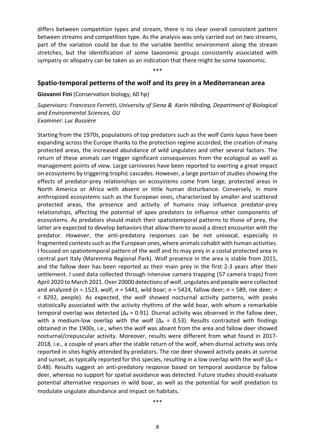differs between competition types and stream, there is no clear overall consistent pattern between streams and competition type. As the analysis was only carried out on two streams, part of the variation could be due to the variable benthic environment along the stream stretches, but the identification of some taxonomic groups consistently associated with sympatry or allopatry can be taken as an indication that there might be some taxonomic.

\*\*\*

#### **Spatio-temporal petterns of the wolf and its prey in a Mediterranean area**

**Giovanni Fini** (Conservation biology, 60 hp)

*Supervisors: Francesco Ferretti, University of Siena & Karin Hårding, Department of Biological and Environmental Sciences, GU Examiner: Luc Bussière*

Starting from the 1970s, populations of top predators such as the wolf *Canis lupus* have been expanding across the Europe thanks to the protection regime accorded, the creation of many protected areas, the increased abundance of wild ungulates and other several factors. The return of these animals can trigger significant consequences from the ecological as well as management points of view. Large carnivores have been reported to exerting a great impact on ecosystems by triggering trophic cascades. However, a large portion of studies showing the effects of predator-prey relationships on ecosystems come from large, protected areas in North America or Africa with absent or little human disturbance. Conversely, in more anthropized ecosystems such as the European ones, characterized by smaller and scattered protected areas, the presence and activity of humans may influence predator-prey relationships, affecting the potential of apex predators to influence other components of ecosystems. As predators should match their spatiotemporal patterns to those of prey, the latter are expected to develop behaviors that allow them to avoid a direct encounter with the predator. However, the anti-predatory responses can be not univocal, especially in fragmented contexts such as the European ones, where animals cohabit with human activities. I focused on spatiotemporal pattern of the wolf and its may prey in a costal protected area in central part Italy (Maremma Regional Park). Wolf presence in the area is stable from 2015, and the fallow deer has been reported as their main prey in the first 2-3 years after their settlement. I used data collected through intensive camera trapping (57 camera traps) from April 2020 to March 2021. Over 20000 detections of wolf, ungulates and people were collected and analyzed (*n* = 1523, wolf; *n* = 5441, wild boar; *n* = 5424, fallow deer; *n* = 589, roe deer; *n*  = 8292, people). As expected, the wolf showed nocturnal activity patterns, with peaks statistically associated with the activity rhythms of the wild boar, with whom a remarkable temporal overlap was detected ( $Δ<sub>4</sub> = 0.91$ ). Diurnal activity was observed in the fallow deer, with a medium-low overlap with the wolf ( $\Delta_4$  = 0.53). Results contrasted with findings obtained in the 1900s, i.e., when the wolf was absent from the area and fallow deer showed nocturnal/crepuscular activity. Moreover, results were different from what found in 2017- 2018, i.e., a couple of years after the stable return of the wolf, when diurnal activity was only reported in sites highly attended by predators. The roe deer showed activity peaks at sunrise and sunset, as typically reported for this species, resulting in a low overlap with the wolf ( $\Delta_4$  = 0.48). Results suggest an anti-predatory response based on temporal avoidance by fallow deer, whereas no support for spatial avoidance was detected. Future studies should evaluate potential alternative responses in wild boar, as well as the potential for wolf predation to modulate ungulate abundance and impact on habitats.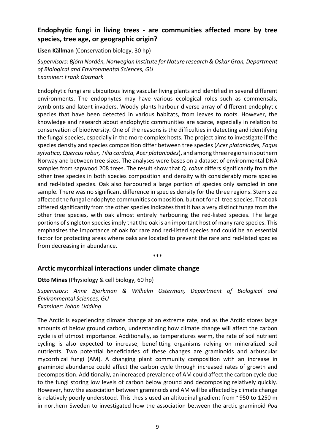### **Endophytic fungi in living trees - are communities affected more by tree species, tree age, or geographic origin?**

**Lisen Källman** (Conservation biology, 30 hp)

*Supervisors: Björn Nordén, Norwegian Institute for Nature research & Oskar Gran, Department of Biological and Environmental Sciences, GU Examiner: Frank Götmark*

Endophytic fungi are ubiquitous living vascular living plants and identified in several different environments. The endophytes may have various ecological roles such as commensals, symbionts and latent invaders. Woody plants harbour diverse array of different endophytic species that have been detected in various habitats, from leaves to roots. However, the knowledge and research about endophytic communities are scarce, especially in relation to conservation of biodiversity. One of the reasons is the difficulties in detecting and identifying the fungal species, especially in the more complex hosts. The project aims to investigate if the species density and species composition differ between tree species (*Acer plataniodes, Fagus sylvatica, Quercus robur, Tilia cordata, Acer plataniodes*), and among three regions in southern Norway and between tree sizes. The analyses were bases on a dataset of environmental DNA samples from sapwood 208 trees. The result show that *Q. robur* differs significantly from the other tree species in both species composition and density with considerably more species and red-listed species. Oak also harboured a large portion of species only sampled in one sample. There was no significant difference in species density for the three regions. Stem size affected the fungal endophyte communities composition, but not for all tree species. That oak differed significantly from the other species indicates that it has a very distinct funga from the other tree species, with oak almost entirely harbouring the red-listed species. The large portions of singleton species imply that the oak is an important host of many rare species. This emphasizes the importance of oak for rare and red-listed species and could be an essential factor for protecting areas where oaks are located to prevent the rare and red-listed species from decreasing in abundance.

\*\*\*

#### **Arctic mycorrhizal interactions under climate change**

**Otto Minas** (Physiology & cell biology, 60 hp)

*Supervisors: Anne Bjorkman & Wilhelm Osterman, Department of Biological and Environmental Sciences, GU Examiner: Johan Uddling*

The Arctic is experiencing climate change at an extreme rate, and as the Arctic stores large amounts of below ground carbon, understanding how climate change will affect the carbon cycle is of utmost importance. Additionally, as temperatures warm, the rate of soil nutrient cycling is also expected to increase, benefitting organisms relying on mineralized soil nutrients. Two potential beneficiaries of these changes are graminoids and arbuscular mycorrhizal fungi (AM). A changing plant community composition with an increase in graminoid abundance could affect the carbon cycle through increased rates of growth and decomposition. Additionally, an increased prevalence of AM could affect the carbon cycle due to the fungi storing low levels of carbon below ground and decomposing relatively quickly. However, how the association between graminoids and AM will be affected by climate change is relatively poorly understood. This thesis used an altitudinal gradient from  $\sim$ 950 to 1250 m in northern Sweden to investigated how the association between the arctic graminoid *Poa*